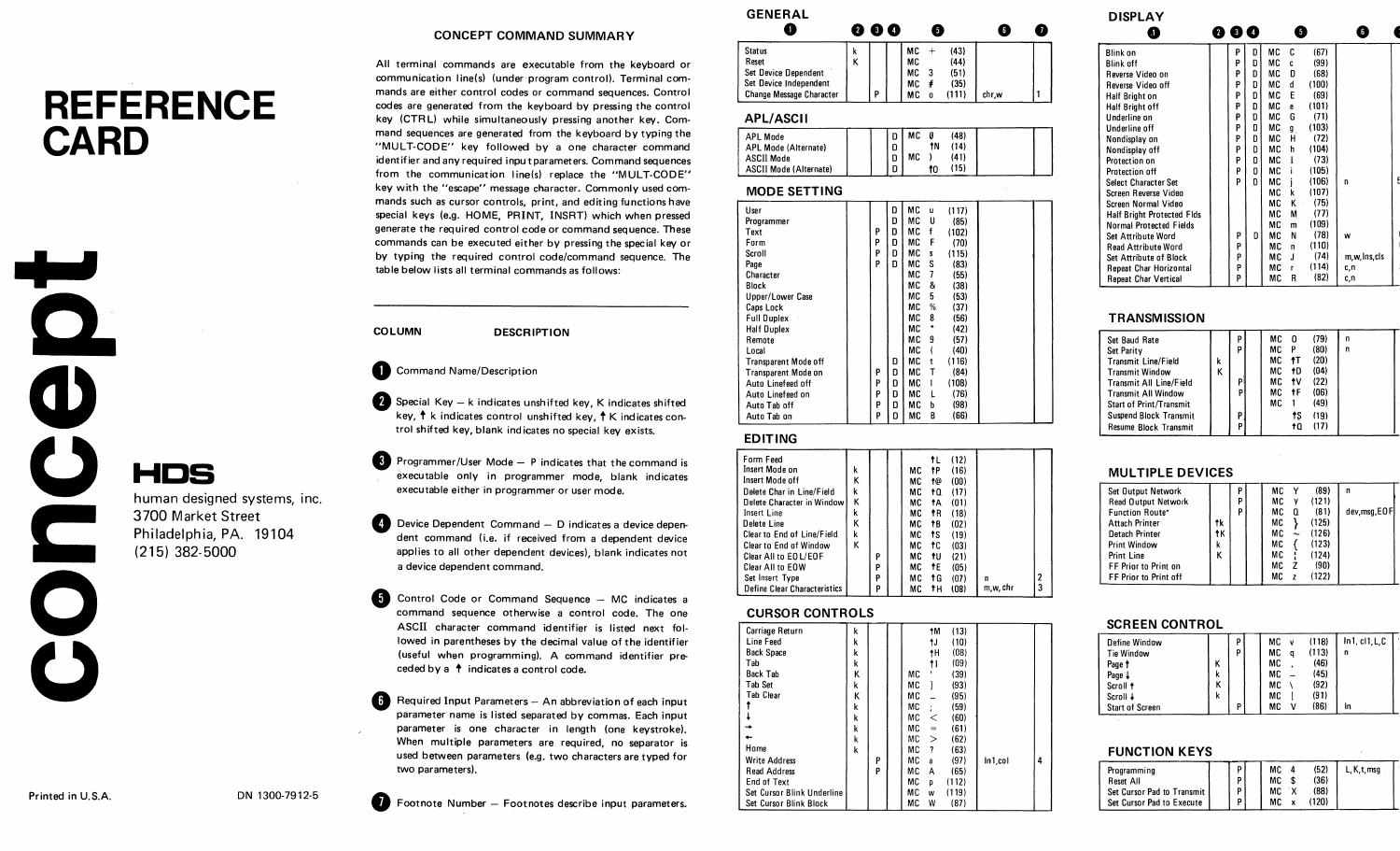#### CONCEPT COMMAND SUMMARY

All terminal commands are executable from the keyboard or communication line(s) (under program control). Terminal commands are either control codes or command sequences. Control codes are generated from the keyboard by pressing the control key (CTR L) while simultaneously pressing another key. Command sequences are generated from the keyboard by typing the "MULT-CODE" key followed by a one character command identifier and any required input parameters. Command sequences from the communication line(s) replace the "MULT-CODE" key with the "escape" message character\_ Commonly used commands such as cursor controls, print, and editing functions have special keys (e.g. HOME, PRINT, INSRT) which when pressed generate the required control code or command sequence. These commands can be executed either by pressing the special key or by typing the required control code/command sequence. The table below lists all terminal commands as follows:

COLUMN DESCRIPTION

**1** Command Name/Description

- **1** Special Key k indicates unshifted key, K indicates shifted key,  $\uparrow$  k indicates control unshifted key,  $\uparrow$  K indicates control shifted key, blank indicates no special key exists.
- Programmer/User Mode P indicates that the command is executable only in programmer mode, blank indicates executable either in programmer or user mode.
- **1** Device Dependent Command D indicates a device dependent command (i.e. if received from a dependent device applies to all other dependent devices), blank indicates not a device dependent command.
- **Control Code or Command Sequence MC indicates a** command sequence otherwise a control code. The one ASCII character command identifier is listed next followed in parentheses by the decimal value of the identifier (useful when programming). A command identifier preceded by a  $\dagger$  indicates a control code.

**1** Required Input Parameters - An abbreviation of each input parameter name is listed separated by commas\_ Each input parameter is one character in length (one keystroke). When multiple parameters are required, no separator is used between parameters (e.g. two characters are typed for two parameters).



| <b>Status</b>                   | ĸ      |   | МC  |   | (43) |       |  |
|---------------------------------|--------|---|-----|---|------|-------|--|
| Reset                           | u<br>N |   | МC  |   | (44) |       |  |
| Set Device Dependent            |        |   | МC  | າ | (51) |       |  |
| Set Device Independent          |        |   | MC. |   | (35) |       |  |
| <b>Change Message Character</b> |        | D | МC  |   |      | chr.w |  |

#### APL/ASCII

| Arl/ASUII                     |   |    |    |      |  |
|-------------------------------|---|----|----|------|--|
| <b>APL Mode</b>               |   | МC |    | (48  |  |
| APL Mode (Alternate)          | D |    | tΝ | (14) |  |
| ASCII Mode                    |   | МC |    | (41) |  |
| <b>ASCII Mode (Alternate)</b> | D |    | t٨ | 15)  |  |

#### MODE SETTING

| User                 |   | D | МC | u | (117) |  |
|----------------------|---|---|----|---|-------|--|
| Programmer           |   | D | МC | U | (85)  |  |
| Text                 | P | D | МC | f | (102) |  |
| Form                 | P | D | МC | F | (70)  |  |
| Scroll               | P | D | МC | S | (115) |  |
| Page                 | P | Đ | МC | s | (83)  |  |
| Character            |   |   | МC | 7 | (55)  |  |
| Block                |   |   | МC | 8 | (38)  |  |
| Upper/Lower Case     |   |   | MС | 5 | (53)  |  |
| Caps Lock            |   |   | МC | % | (37)  |  |
| <b>Full Duplex</b>   |   |   | МC | 8 | (56)  |  |
| <b>Half Duplex</b>   |   |   | МC |   | (42)  |  |
| Remote               |   |   | МC | 9 | (57)  |  |
| Local                |   |   | МC |   | (40)  |  |
| Transparent Mode off |   | D | МC | t | (116) |  |
| Transparent Mode on  | P | D | МC | т | (84)  |  |
| Auto Linefeed off    | P | D | МC |   | (108) |  |
| Auto Linefeed on     | P | D | мc | L | (76)  |  |
| Auto Tab off         | P | D | МC | b | (98)  |  |
| Auto Tab on          | P | D | МC | В | (66)  |  |

#### EDITING

| Form Feed                    |   |   |    | tL  | (12) |          |   |
|------------------------------|---|---|----|-----|------|----------|---|
| Insert Mode on               | k |   | МC | t۴  | (16) |          |   |
| <b>Insert Mode off</b>       | ĸ |   | МC | ተ@  | (00) |          |   |
| Delete Char in Line/Field    | k |   | мc | t۵  | (17) |          |   |
| Delete Character in Window   | к |   | МC | tA  | (01) |          |   |
| Insert Line                  | k |   | МC | ŤΒ  | (18) |          |   |
| Delete Line                  | κ |   | мc | tΒ  | (02) |          |   |
| Clear to End of Line/Field   | k |   | МC | ts  | (19) |          |   |
| Clear to End of Window       | ĸ |   | МC | tC  | (03) |          |   |
| Clear All to EOL/EOF         |   | P | МC | tu  | (21) |          |   |
| <b>Clear All to EOW</b>      |   | Ρ | МC | tΕ  | (05) |          |   |
| Set Insert Type              |   | P | МC | t G | (07) | n        | 2 |
| Define Clear Characteristics |   | P | МC | ŤΗ  | (08) | m,w, chr | 3 |
|                              |   |   |    |     |      |          |   |

#### CURSOR CONTROLS

| טשוו ו ויושט חשפחשט        |   |   |    |                |       |              |   |
|----------------------------|---|---|----|----------------|-------|--------------|---|
| Carriage Return            | k |   |    | <sup>1</sup> M | (13)  |              |   |
| Line Feed                  | k |   |    | tJ             | (10)  |              |   |
| <b>Back Space</b>          | k |   |    | tH             | (08)  |              |   |
| Tab                        | k |   |    | t I            | (09)  |              |   |
| Back Tab                   | Κ |   | МC |                | (39)  |              |   |
| Tab Set                    | k |   | МC |                | (93)  |              |   |
| Tab Clear                  | ĸ |   | МC |                | (95)  |              |   |
|                            | k |   | МC |                | (59)  |              |   |
|                            | k |   | МC | <              | (60)  |              |   |
|                            | k |   | МC | $=$            | (61)  |              |   |
|                            | k |   | МC | >              | (62)  |              |   |
| Home                       | k |   | МC | 7              | (63)  |              |   |
| <b>Write Address</b>       |   | P | МC | a              | (97)  | $ln 1$ , col | 4 |
| Read Address               |   | P | МC | А              | (65)  |              |   |
| End of Text                |   |   | МC | D              | (112) |              |   |
| Set Cursor Blink Underline |   |   | МC | W              | (119) |              |   |
| Set Cursor Blink Block     |   |   | МC | w              | (87)  |              |   |
|                            |   |   |    |                |       |              |   |

| <b>DISPLAY</b>                    |       |   |    |    |       |              |  |
|-----------------------------------|-------|---|----|----|-------|--------------|--|
| Œ                                 | 0 O O |   |    |    | Ð     | 6)           |  |
| Blink on                          | P     | D | МC | C  | (67)  |              |  |
| <b>Blink off</b>                  | P     | D | МC | C  | (99)  |              |  |
| Reverse Video on                  | P     | D | МC | D  | (68)  |              |  |
| Reverse Video off                 | P     | D | МC | d  | (100) |              |  |
| Half Bright on                    | P     | D | МC | E  | (69)  |              |  |
| <b>Half Bright off</b>            | P     | D | МC | e  | (101) |              |  |
| Underline on                      | P     | D | МC | G  | (71)  |              |  |
| Underline off                     | P     | Đ | МC | g. | (103) |              |  |
| Nondisplay on                     | P     | D | МC | Н  | (72)  |              |  |
| Nondisplay off                    | P     | D | МC | h  | (104) |              |  |
| Protection on                     | P     | D | МC | Ī  | (73)  |              |  |
| <b>Protection off</b>             | P     | D | МC |    | (105) |              |  |
| <b>Select Character Set</b>       | P     | D | МC |    | (106) | n            |  |
| Screen Reverse Video              |       |   | МC | k  | (107) |              |  |
| Screen Normal Video               |       |   | МC | к. | (75)  |              |  |
| <b>Half Bright Protected Flds</b> |       |   | МC | M  | (77)  |              |  |
| Normal Protected Fields           |       |   | МC | m  | (109) |              |  |
| <b>Set Attribute Word</b>         | P     | D | МC | N  | (78)  | W            |  |
| <b>Read Attribute Word</b>        | P     |   | МC | n  | (110) |              |  |
| <b>Set Attribute of Block</b>     | P     |   | МC | J  | (74)  | m,w, Ins,cls |  |
| Repeat Char Horizontal            | P     |   | МC | r  | (114) | c,n          |  |
| Repeat Char Vertical              | P     |   | мc | R  | (82)  | c,n          |  |

#### **TRANSMISSION**

| Set Baud Rate<br><b>Set Parity</b><br><b>Transmit Line/Field</b><br><b>Transmit Window</b><br>Transmit All Line/Field<br><b>Transmit All Window</b> | k<br>κ | р<br>p<br>p | МC<br>МC<br>МC<br>МC<br>МC<br>MС | Ω<br>tΤ<br>۴D<br>t٧<br>tF | (79)<br>(80)<br>(20)<br>(04)<br>(22)<br>(06) | n |
|-----------------------------------------------------------------------------------------------------------------------------------------------------|--------|-------------|----------------------------------|---------------------------|----------------------------------------------|---|
| <b>Start of Print/Transmit</b>                                                                                                                      |        |             | МC                               |                           | (49)                                         |   |
| Suspend Block Transmit<br>Resume Block Transmit                                                                                                     |        | p<br>D      |                                  | ts<br>t٥                  | (19)<br>(17)                                 |   |

## MULTIPLE DEVICES

| <b>Set Output Network</b><br>Read Output Network<br>Function Route*<br>Attach Printer<br>Detach Printer<br><b>Print Window</b> | tk<br>tΚ<br>k<br>κ | p<br>D | МC<br>МC<br>МC<br>МC<br>МC<br>МC<br>МC | n | (89)<br>(121)<br>(81)<br>(125)<br>(126)<br>(123) | n<br>dev.msg.EOFI |
|--------------------------------------------------------------------------------------------------------------------------------|--------------------|--------|----------------------------------------|---|--------------------------------------------------|-------------------|
| Print Line<br>FF Prior to Print on<br>FF Prior to Print off                                                                    |                    |        | МC<br>MC.                              |   | (124)<br>(90)<br>(122)                           |                   |

#### SCREEN CONTROL

|                        |   | D | МC |   | (118) | In1, c11, L, C |
|------------------------|---|---|----|---|-------|----------------|
| Define Window          |   |   |    | v |       |                |
| <b>Tie Window</b>      |   | p | МC | a | (113) | n              |
| Page †                 | κ |   | МC | ٠ | (46)  |                |
| Page ↓                 | k |   | МC |   | (45)  |                |
| Scroll +               | κ |   | МC |   | (92)  |                |
| Scroll +               | k |   | МC |   | (91)  |                |
| <b>Start of Screen</b> |   | D | МC |   | (86)  | In             |

### FUNCTION KEYS

| Programming<br><b>Reset All</b><br>Set Cursor Pad to Transmit I<br>Set Cursor Pad to Execute | D<br>n | МC<br>МC<br>MC.<br>МC | (52)<br>(36)<br>(88)<br>(120) | L.K.t.msg |
|----------------------------------------------------------------------------------------------|--------|-----------------------|-------------------------------|-----------|
|----------------------------------------------------------------------------------------------|--------|-----------------------|-------------------------------|-----------|

# **HOS**  human designed systems, inc. 3700 Market Street Philadelphia, PA. 19104 (215) 382-5000

**REFERENCE** 

**CARD** 

....

**(I)** 

 $\mathbf{\mathbf{\mathbf{\mathbf{\mathbf{C}}}}}$ 

**c** 

**0** 

 $\overline{\mathbf{C}}$ 

**c.** 

ON 1300-7912-5

**8** Footnote Number - Footnotes describe input parameters,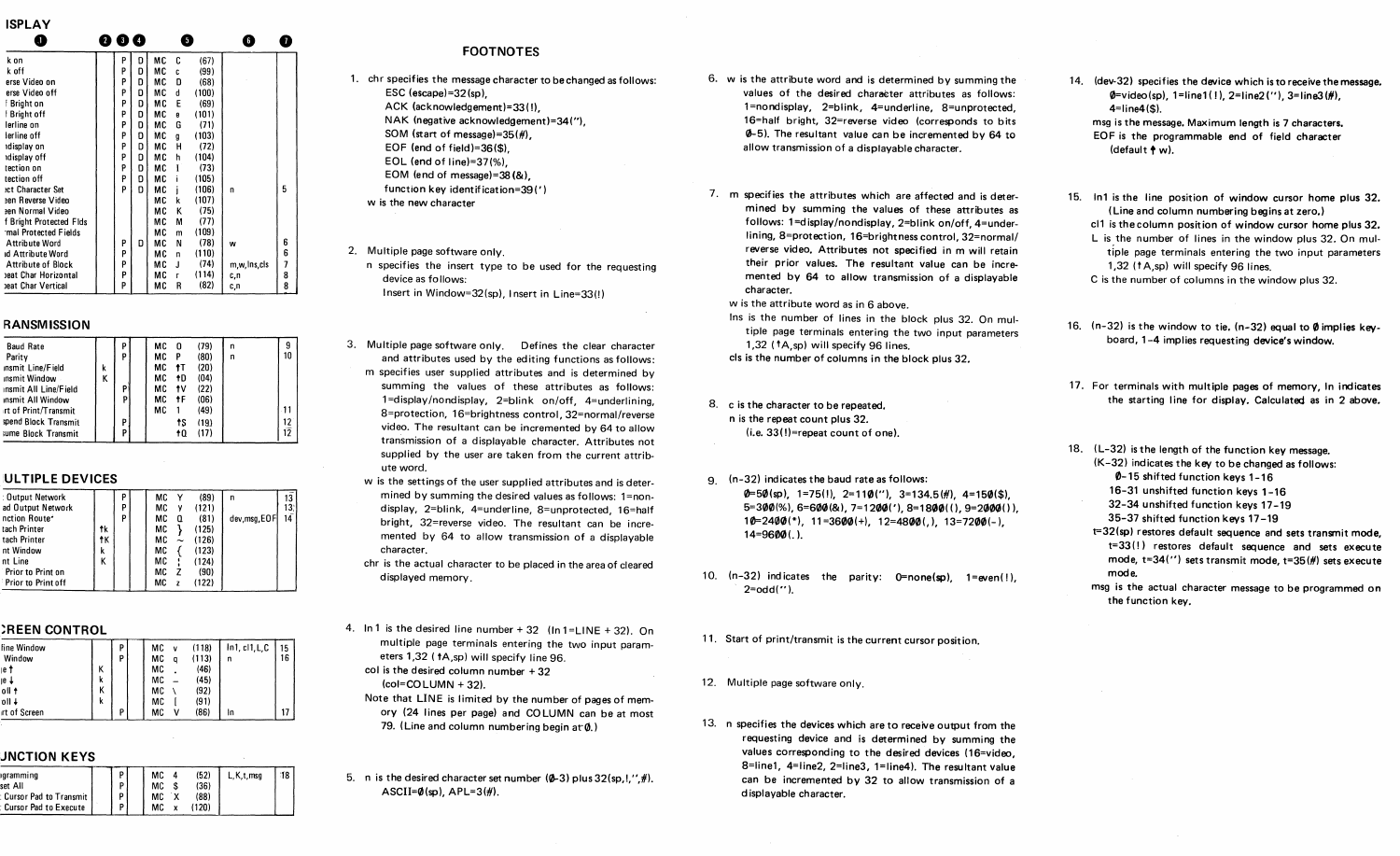| <b>ISPLAY</b>               |   |     |                |    |   |       |              |   |  |
|-----------------------------|---|-----|----------------|----|---|-------|--------------|---|--|
| O                           | 0 | 3 ( | $\overline{4}$ |    |   | Ð     | G            | 7 |  |
| k on                        |   | P   | D              | МC | C | (67)  |              |   |  |
| k off                       |   | P   | D              | МC | c | (99)  |              |   |  |
| erse Video on               |   | P   | D              | МC | D | (68)  |              |   |  |
| erse Video off              |   | P   | D              | МC | d | (100) |              |   |  |
| <b>Bright on</b>            |   | P   | n              | МC | E | (69)  |              |   |  |
| <b>Bright off</b>           |   | P   | D              | МC | e | (101) |              |   |  |
| lerline on                  |   | P   | D              | МC | G | (71)  |              |   |  |
| lerline off                 |   | P   | D              | МC | q | (103) |              |   |  |
| <b>Idisplay</b> on          |   | P   | D              | МC | н | (72)  |              |   |  |
| <b>Idisplay off</b>         |   | P   | D              | МC | h | (104) |              |   |  |
| tection on                  |   | P   | D              | МC | I | (73)  |              |   |  |
| tection off                 |   | P   | D              | МC |   | (105) |              |   |  |
| ect Character Set           |   | P   | n              | МC |   | (106) | n            | 5 |  |
| sen Reverse Video           |   |     |                | МC | k | (107) |              |   |  |
| en Normal Video             |   |     |                | МC | Κ | (75)  |              |   |  |
| f Bright Protected Flds     |   |     |                | МC | М | (77)  |              |   |  |
| mal Protected Fields'       |   |     |                | МC | m | (109) |              |   |  |
| <b>Attribute Word</b>       |   | P   | D              | МC | Ν | (78)  | w            | 6 |  |
| ıd Attribute Word           |   | P   |                | МC | n | (110) |              | 6 |  |
| <b>Attribute of Block</b>   |   | P   |                | мc | J | (74)  | m,w, ins,cis | 7 |  |
| <b>seat Char Horizontal</b> |   | P   |                | МC | r | (114) | c,n          | 8 |  |
| beat Char Vertical          |   | P   |                | мc | R | (82)  | c,n          | 8 |  |

#### **RANSMISSION**

|   | Ρ | МC | 0  | (79) | n |    |
|---|---|----|----|------|---|----|
|   | р | МC | Ρ  | (80) | n | 10 |
| k |   | МC | tT | (20) |   |    |
| ĸ |   | мc | ۴D | (04) |   |    |
|   | P | МC | tV | (22) |   |    |
|   | p | МC | tF | (06) |   |    |
|   |   | МC |    | (49) |   |    |
|   | P |    | ts | (19) |   | 12 |
|   | D |    | t۵ | (17) |   | 12 |
|   |   |    |    |      |   |    |

#### **UL TIPLE DEVICES**

| <b>Output Network</b> |    | P | МC |                       | (89)  | n             |     |
|-----------------------|----|---|----|-----------------------|-------|---------------|-----|
| ad Output Network     |    | P | МC | ٧                     | (121) |               | 13. |
| hction Route*         |    | P | МC | Q                     | (81)  | dev, msg, EOF | 14  |
| tach Printer          | tk |   | МC |                       | (125) |               |     |
| tach Printer          | tκ |   | МC | $\tilde{\phantom{a}}$ | (126) |               |     |
| ht Window             | k  |   | МC |                       | (123) |               |     |
| nt Line               | κ  |   | МC |                       | (124) |               |     |
| Prior to Print on     |    |   | МC |                       | (90)  |               |     |
| Prior to Print off    |    |   | МC |                       | (122) |               |     |
|                       |    |   |    |                       |       |               |     |

#### **:REEN CONTROL**

| ine Window  |   | D | МC | (118) | In1, c11, L, C | 15 |
|-------------|---|---|----|-------|----------------|----|
| Window      |   | p | МC | (113) | n              | 16 |
|             | ĸ |   | МC | (46)  |                |    |
|             | k |   | МC | (45)  |                |    |
| bli t       | K |   | МC | (92)  |                |    |
| 511 J       | k |   | МC | (91)  |                |    |
| t of Screen |   | D | МC | (86)  | ١n             | 17 |

## **JNCTION KEYS**

| .                                               |             |                                  |                 |    |  |  |  |  |  |  |
|-------------------------------------------------|-------------|----------------------------------|-----------------|----|--|--|--|--|--|--|
| aramming<br>et All                              | D<br>D<br>D | МC<br>(52)<br>(36)<br>МC         | $L$ , K, t, msg | 18 |  |  |  |  |  |  |
| Cursor Pad to Transmit<br>Cursor Pad to Execute | D           | (88)<br>MC<br>(120)<br><b>MC</b> |                 |    |  |  |  |  |  |  |

## **FOOTNOTES**

1. chr specifies the message character to be changed as follows: ESC (escape)=32(sp), ACK (acknowledgement)=33 ( !), NAK (negative acknowledgement)=34(") SOM (start of message)=35(#), EOF (end of field)=36(\$), EOL (end of line)=37(%). EOM (end of message)=38 (&), function key identif ication=39 (') w is the new character

#### 2. Multiple page software only.

n specifies the insert type to be used for the requesting device as follows:

Insert in Window=32(sp), Insert in Line=33(!)

- 3. Multiple page software only. Defines the clear character and attributes used by the editing functions as follows: m specifies user supplied attributes and is determined by summing the values of these attributes as follows: 1 =display /nondisplay, 2=blink on/off, 4=underlining, 8=protection, 16=brightness control, 32=normal/reverse video. The resultant can be incremented by 64 to allow transmission of a displayable character. Attributes not supplied by the user are taken from the current attribute word.
	- w is the settings of the user supplied attributes and is determined by summing the desired values as follows: 1=nondisplay, 2=blink, 4=underline, 8=unprotected, 16=half bright, 32=reverse video. The resultant can be incremented by 64 to allow transmission of a displayable character.
	- chr is the actual character to be placed in the area of cleared displayed memory.
- 4. In 1 is the desired line number + 32 (In  $1 = LINE + 32$ ). On multiple page terminals entering the two input parameters 1,32 ( tA,sp) will specify line 96.
	- col is the desired column number + 32  $[col=COLUMN + 32]$ .
	- Note that LINE is limited by the number of pages of memory (24 lines per page) and COLUMN can be at most 79. (Line and column numbering begin at 0.)
- 5. n is the desired character set number  $(\phi$ -3) plus 32(sp, !,",#).  $ASCII = \emptyset$ (sp),  $APL = 3(\#)$ .
- 6. w is the attribute word and is determined by summing the values of the desired charaeter attributes as follows: 1 =nondisplay, 2=blink, 4=underline, 8=unprotected, 16=half bright, 32=reverse video (corresponds to bits 0-5). The resultant value can be incremented by 64 to allow transmission of a displayable character.
- 7. m specifies the attributes which are affected and is determined by summing the values of these attributes as follows: 1 =display/nondisplay, 2=blink on/off, 4=underlining, 8=protection, 16=brightness control, 32=normal/ reverse video. Attributes not specified in m will retain their prior values. The resultant value can be incremented by 64 to allow transmission of a displayable character.
	- w is the attribute word as in 6 above.
	- Ins is the number of lines in the block plus 32. On multiple page terminals entering the two input parameters 1,32 ( tA,sp) will specify 96 lines.
	- els is the number of columns in the block plus 32.
- 8. c is the character to be repeated. n is the repeat count plus 32. (i.e. 33(!)=repeat count of one).
- 9. (n-32) indicates the baud rate as follows:  $\phi$ =50(sp), 1=75(!), 2=110(''), 3=134.5(#), 4=150(\$),  $5=300\%$ ,  $6=600\%$ ,  $7=1200(')$ ,  $8=1800($ ),  $9=2000()$ ),  $10=2400(*)$ ,  $11=3600(+)$ ,  $12=4800($ ,  $13=7200(-)$ , 14=9600(.).
- 10.  $(n-32)$  indicates the parity: 0=none(sp), 1=even(!), 2=odd(").
- 11. Start of print/transmit is the current cursor position.
- 12. Multiple page software only.
- 13. n specifies the devices which are to receive output from the requesting device and is determined by summing the values corresponding to the desired devices (16=video, 8=1ine1, 4=1ine2, 2=1ine3, 1=1ine4). The resultant value can be incremented by 32 to allow transmission of a displayable character.
- 14. (dev-32) specifies the device which is to receive the message.  $\phi$ =video(sp), 1=line1(!), 2=line2("), 3=line3(#), 4=1ine4(\$). msg is the message. Maximum length is 7 characters. EOF is the programmable end of field character
	- (default **t** w).
- 15. ln1 is the line position of window cursor home plus 32. (Line and column numbering begins at zero.) cl1 is the column position of window cursor home plus 32.
	- L is the number of lines in the window plus 32. On multiple page terminals entering the two input parameters 1,32 ( t A,sp) will specify 96 lines. C is the number of columns in the window plus 32.
- 16. (n-32) is the window to tie. (n-32) equal to **0** implies keyboard, 1-4 implies requesting device's window.
- 17. For terminals with multiple pages of memory, In indicates the starting line for display. Calculated as in 2 above.
- 18. (L-32) is the length of the function key message. (K-32) indicates the key to be changed as follows: 0-15 shifted function keys 1-16 16-31 unshifted function keys 1-16 32-34 unshifted function keys 17-19 35-37 shifted function keys 17-19
	- t=32(sp) restores default sequence and sets transmit mode, t=33(!) restores default sequence and sets execute mode, t=34(") sets transmit mode, t=35(#) sets execute mode.
	- msg is the actual character message to be programmed on the function key.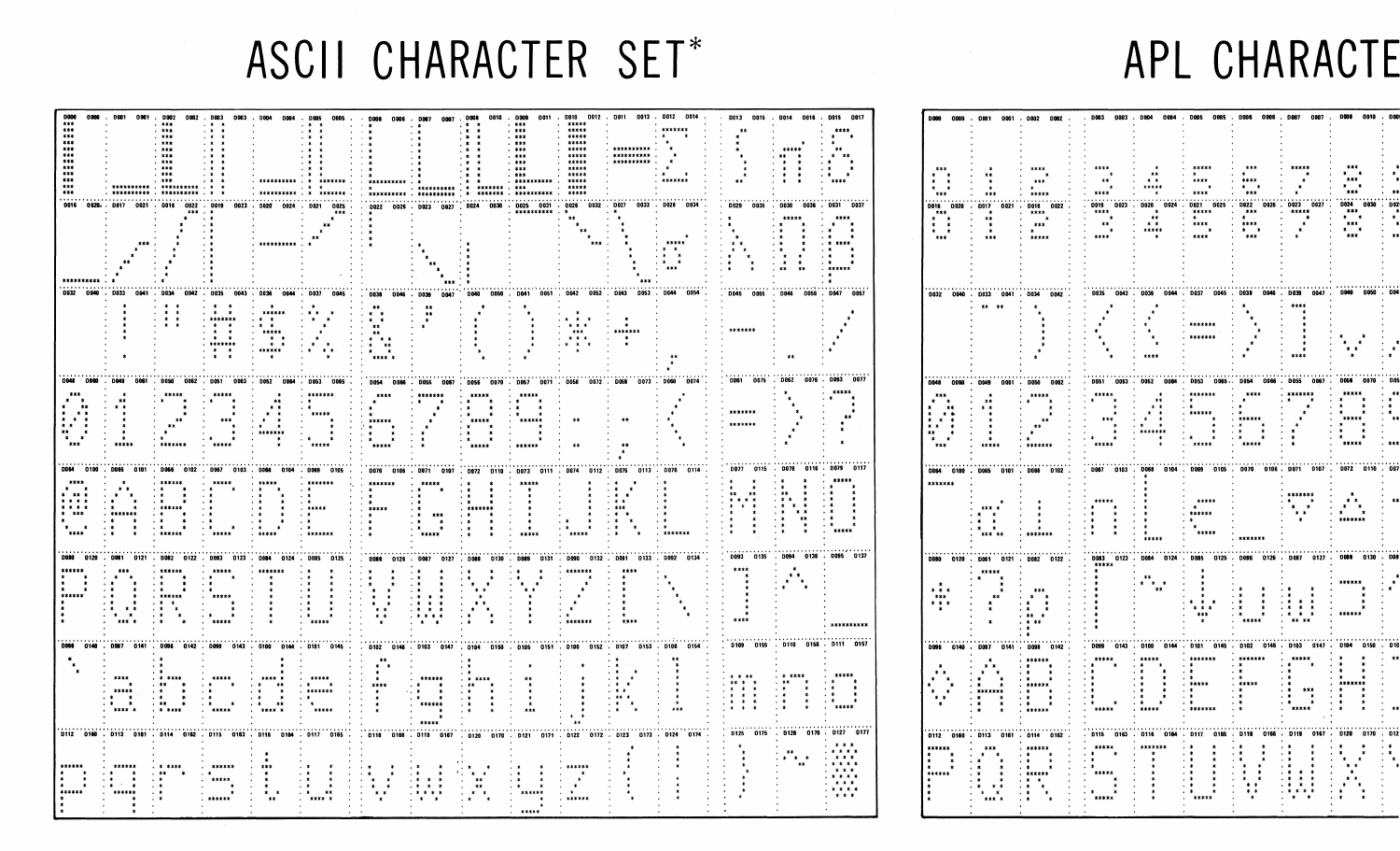# ASCII CHARACTER SET\*

# APL CHARACTE

| ***<br>***<br>***<br>***<br>***<br>***<br>***<br>***<br>***<br>***<br>***<br>D016 | 0020 - 0017                                  | ***<br>***<br>***<br>***<br>***<br>***<br>***<br>***<br>***<br>********** . *********<br>********** . *********<br>0021 - 0018 0022 - 0019<br>*** |                           | **********<br>**********<br>0023 . 0020 0024<br>********** | D021<br>0025                                                  | **********           | **********<br>********** ********* *<br>0022 0026 0023 0027 0024 0030<br>*** | 京京京京京京)<br>******* | <b>D009</b><br>***<br>. ***<br>***<br>***<br>* ***<br>***<br>***<br>***<br>**********<br>***<br>**********<br>D025 0031 .<br>$\ddot{\phantom{1}}$<br>********** | 0010<br>$0012$ .<br>*****<br>*****<br>*****<br>*****<br>*****<br>*****<br>*****<br>*****<br>*****<br>*****<br>*****<br>*****<br>DO26 0032 0027<br>$\star\star$ | D011<br>0013<br>**********<br>**********<br>**********<br>0033 | *******<br>$.$ D028 0034                                                                 | 0015<br>D029 0035   | $.$ DO14<br>0016<br>*****<br>D030<br>0036<br>***** | 0037<br>D031        |
|-----------------------------------------------------------------------------------|----------------------------------------------|---------------------------------------------------------------------------------------------------------------------------------------------------|---------------------------|------------------------------------------------------------|---------------------------------------------------------------|----------------------|------------------------------------------------------------------------------|--------------------|-----------------------------------------------------------------------------------------------------------------------------------------------------------------|----------------------------------------------------------------------------------------------------------------------------------------------------------------|----------------------------------------------------------------|------------------------------------------------------------------------------------------|---------------------|----------------------------------------------------|---------------------|
| 0032 0040                                                                         |                                              | 0033 0041 . 0034 0042 . 0035 0043 . 0036 0044 . 0037 0045<br>$\pmb{\ast}$<br>$\pmb{\ast}$<br>$\ddot{\ast}$<br>$\pmb{\ast}$                        | *******<br>$\pmb{\ast}$   | ******<br>*<br>$*$ *                                       |                                                               | <b>DO38</b>          | 0046 - 0039<br>0047                                                          |                    | 0040 0050 . D041 0051 . D042 0052 . D043 0053 . D044 0054                                                                                                       |                                                                                                                                                                |                                                                |                                                                                          | D045 0055           | 0046 0056 . 0047 0057                              |                     |
|                                                                                   |                                              |                                                                                                                                                   | $\pmb{*}$<br>*******<br>* | *****<br>$\pmb{\ast}$<br>$\bullet$<br>******               |                                                               | ****                 |                                                                              |                    |                                                                                                                                                                 | ***                                                                                                                                                            | ******                                                         |                                                                                          | *******             |                                                    |                     |
| D048<br>0060                                                                      | D049<br>0061                                 | . 0050 0062 . 0051 0063 . 0052 0064                                                                                                               |                           | $**$                                                       | . 0053 0065<br>*******                                        | 0054<br>0066<br>**** | *******                                                                      | *****              | *****                                                                                                                                                           |                                                                                                                                                                |                                                                | 0055   0067   0056   0070   0057   0071   0058   0072   0059   0073   0060   0074   0055 | 0061 0075           | <b>DO62</b>                                        | 0077<br>0076 . 0063 |
|                                                                                   |                                              |                                                                                                                                                   | ***                       | * *<br>*******                                             | *****                                                         | ******               |                                                                              | *****              | ******                                                                                                                                                          |                                                                                                                                                                |                                                                |                                                                                          | *******<br>*******  |                                                    |                     |
| D064<br>0100                                                                      | *****                                        | *******                                                                                                                                           |                           |                                                            | *****                                                         | *****                |                                                                              | *****              | ******                                                                                                                                                          |                                                                                                                                                                |                                                                |                                                                                          | DO77 0115           | . 0078 0116.                                       | D879 0117           |
| * * *<br>***<br>****                                                              | *******                                      | ******<br>******<br>******                                                                                                                        | *****<br>*****            | *****<br>*****                                             | ********<br>*****<br>*******                                  | *******<br>*****     | D070 0106 . D071 0107<br>*****<br>***<br>*****                               |                    | . 0072  0110 . 0073  0111 . 0074  0112 . 0075  0113 . 0076  0114<br>*****<br>*****                                                                              | *****                                                                                                                                                          |                                                                |                                                                                          |                     |                                                    |                     |
| <b>DO80</b><br>0120                                                               | <b>DO81</b><br>0121                          | . 0082 0122 . 0083 0123 . 0084 0124 . 0085<br>******                                                                                              | *****                     | *****                                                      | 0125                                                          |                      | 0086 0126 - 0087 0127                                                        | . 0088 0130        | , D089 0131 . D090 0132 . D091 0133 . D092 0134                                                                                                                 |                                                                                                                                                                |                                                                |                                                                                          | <b>DO93</b><br>0135 | D094                                               | 0136 0095 0137      |
| ******                                                                            |                                              | ******                                                                                                                                            | *****<br>*****            |                                                            | *****                                                         |                      |                                                                              |                    |                                                                                                                                                                 |                                                                                                                                                                | ****                                                           |                                                                                          |                     |                                                    | **********          |
| 0140                                                                              |                                              |                                                                                                                                                   |                           |                                                            |                                                               | D102 0146 D103 0147  |                                                                              |                    |                                                                                                                                                                 |                                                                                                                                                                |                                                                | . 0104  0150 .  0105  0151 .  0106  0152 .  0107  0153 .  0108  0154 .                   |                     | D109 0155 - D110 0156                              | . 0111 0157         |
|                                                                                   | ****<br>*****<br>$\ddot{\tilde{}}$<br>**** * | $\pmb{x} \pmb{x}$<br>* ****                                                                                                                       | *****                     | **<br>**                                                   | *****<br>*******<br>*****                                     | ****                 | ******<br>******<br>*****                                                    |                    |                                                                                                                                                                 |                                                                                                                                                                |                                                                | ***                                                                                      |                     |                                                    |                     |
| D112 0160                                                                         |                                              |                                                                                                                                                   |                           |                                                            | . 0113 0161 . 0114 0162 . 0115 0163 . 0116 0164 . 0117 0165 . |                      |                                                                              |                    |                                                                                                                                                                 |                                                                                                                                                                |                                                                | . 0118 0166 . 0119 0167 . 0120 0170 . 0121 0171 . 0122 0172 . 0123 0173 . 0124 0174 .    | D125 0175           | . 0126 0176.                                       | 0127 0177           |
|                                                                                   |                                              |                                                                                                                                                   | ******<br>*****<br>****** |                                                            |                                                               |                      |                                                                              |                    |                                                                                                                                                                 | ******                                                                                                                                                         |                                                                |                                                                                          |                     |                                                    |                     |

| <b>D000</b>                                                      |                    | 0000 0001 0001 0002 0002 000        | . <b>D003</b> | 0003 . 0004 0004 . 0005 0005 . 0006 0006 . 0007 |           |                | $0007$ .                      | 0088<br>0010        |
|------------------------------------------------------------------|--------------------|-------------------------------------|---------------|-------------------------------------------------|-----------|----------------|-------------------------------|---------------------|
|                                                                  |                    |                                     |               |                                                 |           |                |                               |                     |
|                                                                  |                    |                                     | ****          |                                                 | *****     | ***            |                               |                     |
|                                                                  | $***$              |                                     |               |                                                 |           |                |                               |                     |
|                                                                  | ***                |                                     |               |                                                 |           | ***            |                               |                     |
| $\overline{\phantom{a}}$ 0020 $\overline{\phantom{a}}$ .<br>D016 |                    | 0017 0021 0018 0022                 |               |                                                 |           |                |                               | D024 0030 .         |
| ***                                                              | $***$              | ****                                |               |                                                 |           |                |                               | ***<br>$\pmb{\ast}$ |
|                                                                  |                    | ***                                 |               | *****                                           | ****      | ****<br>$\ast$ |                               | ***                 |
| ***                                                              | ***                | *****                               | ****          |                                                 | ****      | ***            |                               | ***                 |
|                                                                  |                    |                                     |               |                                                 |           |                |                               |                     |
|                                                                  |                    |                                     |               |                                                 |           |                |                               |                     |
|                                                                  |                    |                                     |               |                                                 |           |                |                               |                     |
|                                                                  |                    |                                     |               |                                                 |           |                |                               |                     |
|                                                                  |                    |                                     |               |                                                 | *******   |                |                               |                     |
|                                                                  |                    |                                     |               |                                                 | *******   |                |                               |                     |
|                                                                  |                    |                                     |               |                                                 |           |                |                               |                     |
|                                                                  |                    |                                     |               |                                                 |           |                | ****                          |                     |
| D048 0060                                                        |                    | 0049 0061 0050 0062                 |               |                                                 |           |                |                               | DO56 0070 . DO      |
|                                                                  |                    | *****                               |               |                                                 |           | ****           | *******                       |                     |
|                                                                  | $**$<br>$\ast\ast$ |                                     |               |                                                 |           |                |                               |                     |
|                                                                  |                    |                                     |               |                                                 | *******   | ******         |                               |                     |
|                                                                  |                    |                                     |               |                                                 |           |                |                               |                     |
|                                                                  |                    |                                     |               |                                                 | *****     | *****          |                               |                     |
|                                                                  | *****              |                                     | *****         |                                                 |           |                |                               |                     |
|                                                                  |                    | 0064 0100 . 0065 0101 . 0066 0102 . |               |                                                 |           |                |                               |                     |
| *******                                                          |                    |                                     |               |                                                 |           |                |                               |                     |
|                                                                  |                    |                                     |               |                                                 |           |                | *****                         |                     |
|                                                                  |                    |                                     |               |                                                 | *****     |                |                               |                     |
|                                                                  |                    |                                     |               |                                                 |           |                |                               |                     |
|                                                                  |                    |                                     |               |                                                 |           |                |                               |                     |
|                                                                  |                    | *******                             |               | *****                                           |           | *******        |                               |                     |
|                                                                  |                    | 0080 0120 . 0081 0121 . 0082 0122 . |               |                                                 |           |                |                               |                     |
|                                                                  | *****              |                                     |               | **<br>* * *<br>**                               |           |                |                               |                     |
|                                                                  |                    |                                     |               |                                                 |           | $\pmb{\ast}$   |                               | ******<br>*         |
|                                                                  |                    |                                     |               |                                                 |           |                |                               |                     |
|                                                                  |                    |                                     |               |                                                 |           |                | . * * *<br>. * * *<br>. * * * | ******              |
|                                                                  |                    |                                     |               |                                                 |           |                |                               |                     |
|                                                                  |                    | 0096 0140 0097 0141 0098 0142       |               |                                                 |           |                |                               |                     |
|                                                                  |                    |                                     |               |                                                 | * ******* | * *******      |                               | $\star$             |
|                                                                  |                    |                                     |               |                                                 |           |                |                               |                     |
|                                                                  |                    | ******                              |               |                                                 | *****     | *****          | ***                           | *******             |
|                                                                  |                    |                                     |               | $\star$                                         |           |                |                               | $\ast$              |
|                                                                  |                    | ******                              | *****         | ******                                          | * ******* | $. *$          | *****                         |                     |
|                                                                  |                    | D112 0160 - D113 0161 - D114 0162 - |               |                                                 |           |                |                               |                     |
|                                                                  |                    |                                     | *****         | *******                                         |           |                |                               |                     |
|                                                                  |                    |                                     |               |                                                 |           |                |                               |                     |
|                                                                  |                    |                                     |               | ٠                                               |           |                |                               |                     |
|                                                                  |                    |                                     |               |                                                 |           |                | $\pmb{\ast}$                  |                     |
|                                                                  |                    |                                     |               |                                                 |           |                |                               |                     |
|                                                                  |                    |                                     |               |                                                 |           |                |                               |                     |